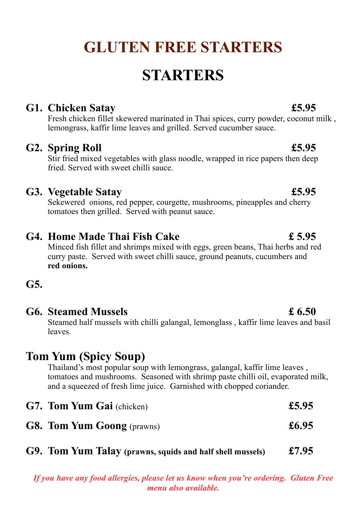# **GLUTEN FREE STARTERS**

# **STARTERS**

#### **G1. Chicken Satay £5.95**

Fresh chicken fillet skewered marinated in Thai spices, curry powder, coconut milk , lemongrass, kaffir lime leaves and grilled. Served cucumber sauce.

### **G2. Spring Roll £5.95**

Stir fried mixed vegetables with glass noodle, wrapped in rice papers then deep fried. Served with sweet chilli sauce.

### **G3. Vegetable Satay £5.95**

Sekewered onions, red pepper, courgette, mushrooms, pineapples and cherry tomatoes then grilled. Served with peanut sauce.

### **G4. Home Made Thai Fish Cake £ 5.95**

Minced fish fillet and shrimps mixed with eggs, green beans, Thai herbs and red curry paste. Served with sweet chilli sauce, ground peanuts, cucumbers and **red onions.**

### **G5.**

#### **G6. Steamed Mussels £ 6.50**

Steamed half mussels with chilli galangal, lemonglass , kaffir lime leaves and basil leaves.

## **Tom Yum (Spicy Soup)**

Thailand's most popular soup with lemongrass, galangal, kaffir lime leaves , tomatoes and mushrooms. Seasoned with shrimp paste chilli oil, evaporated milk, and a squeezed of fresh lime juice. Garnished with chopped coriander.

| <b>G7. Tom Yum Gai</b> (chicken)  | £5.95 |
|-----------------------------------|-------|
| <b>G8. Tom Yum Goong</b> (prawns) | £6.95 |

**G9. Tom Yum Talay (prawns, squids and half shell mussels) £7.95**

*If you have any food allergies, please let us know when you're ordering. Gluten Free menu also available.*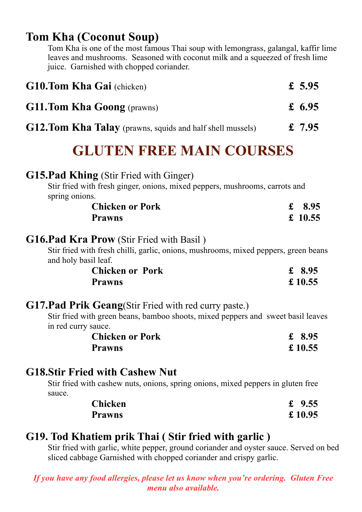# **Tom Kha (Coconut Soup)**

Tom Kha is one of the most famous Thai soup with lemongrass, galangal, kaffir lime leaves and mushrooms. Seasoned with coconut milk and a squeezed of fresh lime juice. Garnished with chopped coriander.

| <b>G10.Tom Kha Gai</b> (chicken)                                 | £ 5.95   |
|------------------------------------------------------------------|----------|
| <b>G11.Tom Kha Goong</b> (prawns)                                | £ 6.95   |
| <b>G12.Tom Kha Talay</b> (prawns, squids and half shell mussels) | £ $7.95$ |

# **GLUTEN FREE MAIN COURSES**

### **G15.Pad Khing** (Stir Fried with Ginger)

Stir fried with fresh ginger, onions, mixed peppers, mushrooms, carrots and spring onions.

| <b>Chicken or Pork</b> | £ 8.95  |
|------------------------|---------|
| <b>Prawns</b>          | £ 10.55 |

### **G16.Pad Kra Prow** (Stir Fried with Basil )

Stir fried with fresh chilli, garlic, onions, mushrooms, mixed peppers, green beans and holy basil leaf.

| <b>Chicken or Pork</b> | £ 8.95  |
|------------------------|---------|
| <b>Prawns</b>          | £ 10.55 |

### **G17.Pad Prik Geang**(Stir Fried with red curry paste.)

Stir fried with green beans, bamboo shoots, mixed peppers and sweet basil leaves in red curry sauce.

| <b>Chicken or Pork</b> | £ 8.95  |
|------------------------|---------|
| <b>Prawns</b>          | £ 10.55 |

### **G18.Stir Fried with Cashew Nut**

Stir fried with cashew nuts, onions, spring onions, mixed peppers in gluten free sauce.

| <b>Chicken</b> | £ $9.55$ |
|----------------|----------|
| <b>Prawns</b>  | £ 10.95  |

## **G19. Tod Khatiem prik Thai ( Stir fried with garlic )**

Stir fried with garlic, white pepper, ground coriander and oyster sauce. Served on bed sliced cabbage Garnished with chopped coriander and crispy garlic.

*If you have any food allergies, please let us know when you're ordering. Gluten Free menu also available.*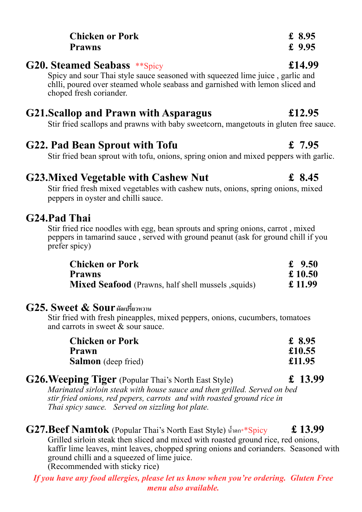| <b>G21.Scallop and Prawn with Asparagus</b>                                           | £12.95 |
|---------------------------------------------------------------------------------------|--------|
| Stir fried scallops and prawns with baby sweetcorn, mangetouts in gluten free sauce.  |        |
| <b>G22. Pad Bean Sprout with Tofu</b>                                                 | £ 7.95 |
| Stir fried bean sprout with tofu, onions, spring onion and mixed peppers with garlic. |        |

### **G23.Mixed Vegetable with Cashew Nut £ 8.45**

Stir fried fresh mixed vegetables with cashew nuts, onions, spring onions, mixed peppers in oyster and chilli sauce.

#### **G24.Pad Thai**

Stir fried rice noodles with egg, bean sprouts and spring onions, carrot , mixed peppers in tamarind sauce , served with ground peanut (ask for ground chill if you prefer spicy)

| <b>Chicken or Pork</b>                                    | £ $9.50$ |
|-----------------------------------------------------------|----------|
| <b>Prawns</b>                                             | £ 10.50  |
| <b>Mixed Seafood</b> (Prawns, half shell mussels, squids) | £ 11.99  |

#### **G25. Sweet & Sour ผัดเปรี)ยวหวาน**

Stir fried with fresh pineapples, mixed peppers, onions, cucumbers, tomatoes and carrots in sweet & sour sauce.

| <b>Chicken or Pork</b>     | £ 8.95 |
|----------------------------|--------|
| Prawn                      | £10.55 |
| <b>Salmon</b> (deep fried) | £11.95 |

| <b>G26. Weeping Tiger</b> (Popular Thai's North East Style)              | £ 13.99 |
|--------------------------------------------------------------------------|---------|
| Marinated sirloin steak with house sauce and then grilled. Served on bed |         |
| stir fried onions, red pepers, carrots and with roasted ground rice in   |         |
| Thai spicy sauce. Served on sizzling hot plate.                          |         |

 $G27.$ Beef Namtok (Popular Thai's North East Style) น้ำตก $*$ \*Spicy  $\qquad$  £ 13.99 Grilled sirloin steak then sliced and mixed with roasted ground rice, red onions, kaffir lime leaves, mint leaves, chopped spring onions and corianders. Seasoned with ground chilli and a squeezed of lime juice. (Recommended with sticky rice)

*If you have any food allergies, please let us know when you're ordering. Gluten Free menu also available.*

#### **Chicken or Pork £ 8.95 Prawns £ 9.95**

#### **G20. Steamed Seabass** \*\*Spicy **£14.99**

Spicy and sour Thai style sauce seasoned with squeezed lime juice , garlic and chlli, poured over steamed whole seabass and garnished with lemon sliced and choped fresh coriander.